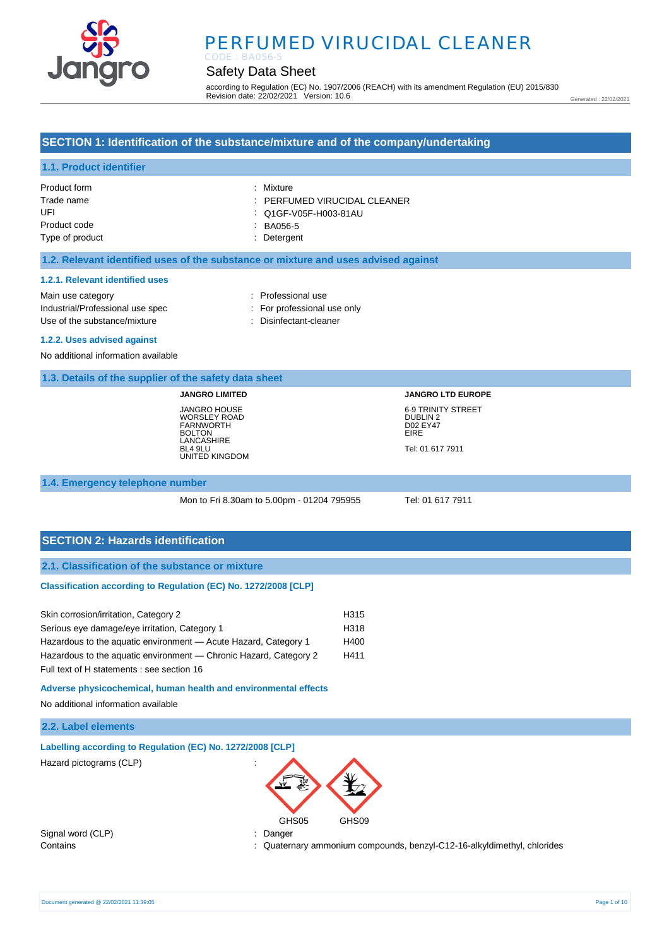

# PERFUMED VIRUCIDAL CLEANER CODE : BA056-5

# Safety Data Sheet

according to Regulation (EC) No. 1907/2006 (REACH) with its amendment Regulation (EU) 2015/830 Revision date: 22/02/2021 Version: 10.6

Generated : 22/02/2021

## **SECTION 1: Identification of the substance/mixture and of the company/undertaking**

## **1.1. Product identifier**

| Product form    | : Mixture                    |
|-----------------|------------------------------|
| Trade name      | : PERFUMED VIRUCIDAL CLEANER |
| UFI             | : Q1GF-V05F-H003-81AU        |
| Product code    | BA056-5                      |
| Type of product | : Detergent                  |

### **1.2. Relevant identified uses of the substance or mixture and uses advised against**

#### **1.2.1. Relevant identified uses**

Main use category **Example 20** and 20 and 20 and 20 and 20 and 20 and 20 and 20 and 20 and 20 and 20 and 20 and 20 and 20 and 20 and 20 and 20 and 20 and 20 and 20 and 20 and 20 and 20 and 20 and 20 and 20 and 20 and 20 an Industrial/Professional use spec : For professional use only Use of the substance/mixture in the substance/mixture in the substance of the substance of the substance of the substance of the substance of the substance/mixture in the substance of the substance of the substance of the

#### **1.2.2. Uses advised against**

No additional information available

### **1.3. Details of the supplier of the safety data sheet**

**JANGRO LIMITED** JANGRO HOUSE WORSLEY ROAD FARNWORTH BOLTON LANCASHIRE BL4 9LU UNITED KINGDOM

# **JANGRO LTD EUROPE** 6-9 TRINITY STREET DUBLIN 2 D02 EY47 EIRE Tel: 01 617 7911

#### **1.4. Emergency telephone number**

Mon to Fri 8.30am to 5.00pm - 01204 795955 Tel: 01 617 7911

### **SECTION 2: Hazards identification**

### **2.1. Classification of the substance or mixture**

#### **Classification according to Regulation (EC) No. 1272/2008 [CLP]**

| Skin corrosion/irritation, Category 2                             | H315 |
|-------------------------------------------------------------------|------|
| Serious eye damage/eye irritation, Category 1                     | H318 |
| Hazardous to the aguatic environment - Acute Hazard, Category 1   | H400 |
| Hazardous to the aquatic environment — Chronic Hazard, Category 2 | H411 |
| Full text of H statements : see section 16                        |      |

**Adverse physicochemical, human health and environmental effects** 

No additional information available

### **2.2. Label elements**

| Labelling according to Regulation (EC) No. 1272/2008 [CLP] |  |  |
|------------------------------------------------------------|--|--|
| $\Box$ azard pictograme $(\cap \Box)$                      |  |  |





Signal word (CLP) : Danger

Contains : Quaternary ammonium compounds, benzyl-C12-16-alkyldimethyl, chlorides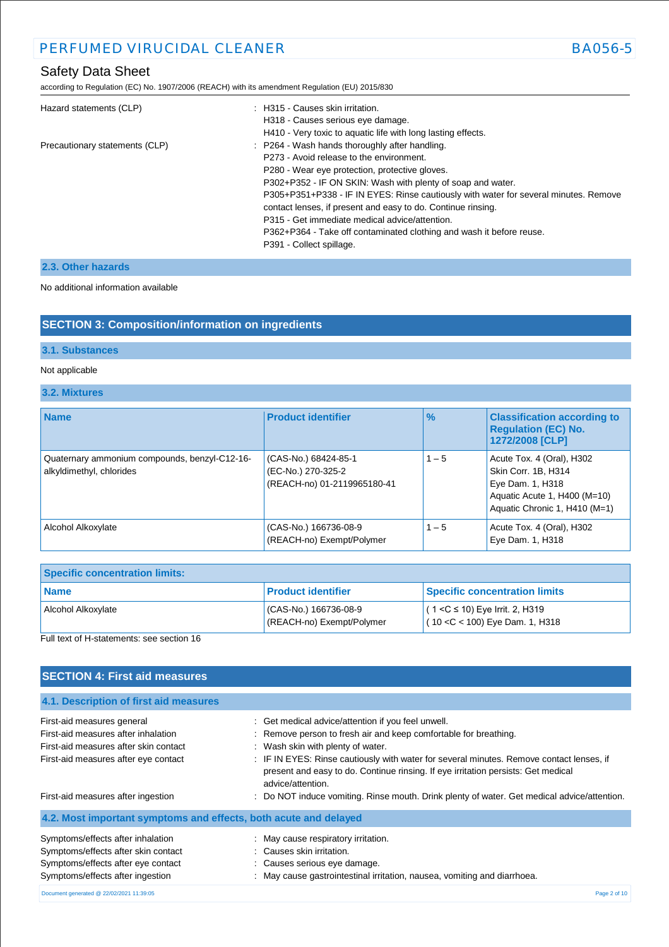according to Regulation (EC) No. 1907/2006 (REACH) with its amendment Regulation (EU) 2015/830

| Hazard statements (CLP)        | : H315 - Causes skin irritation.<br>H318 - Causes serious eye damage.                                                                                |
|--------------------------------|------------------------------------------------------------------------------------------------------------------------------------------------------|
|                                | H410 - Very toxic to aquatic life with long lasting effects.                                                                                         |
| Precautionary statements (CLP) | : P264 - Wash hands thoroughly after handling.<br>P273 - Avoid release to the environment.                                                           |
|                                | P280 - Wear eye protection, protective gloves.                                                                                                       |
|                                | P302+P352 - IF ON SKIN: Wash with plenty of soap and water.                                                                                          |
|                                | P305+P351+P338 - IF IN EYES: Rinse cautiously with water for several minutes. Remove<br>contact lenses, if present and easy to do. Continue rinsing. |
|                                | P315 - Get immediate medical advice/attention.                                                                                                       |
|                                | P362+P364 - Take off contaminated clothing and wash it before reuse.                                                                                 |
|                                | P391 - Collect spillage.                                                                                                                             |

# **2.3. Other hazards**

### No additional information available

# **SECTION 3: Composition/information on ingredients**

## **3.1. Substances**

## Not applicable

## **3.2. Mixtures**

| <b>Name</b>                                                               | <b>Product identifier</b>                                                 | $\%$    | <b>Classification according to</b><br><b>Regulation (EC) No.</b><br>1272/2008 [CLP]                                                   |
|---------------------------------------------------------------------------|---------------------------------------------------------------------------|---------|---------------------------------------------------------------------------------------------------------------------------------------|
| Quaternary ammonium compounds, benzyl-C12-16-<br>alkyldimethyl, chlorides | (CAS-No.) 68424-85-1<br>(EC-No.) 270-325-2<br>(REACH-no) 01-2119965180-41 | $1 - 5$ | Acute Tox. 4 (Oral), H302<br>Skin Corr. 1B, H314<br>Eye Dam. 1, H318<br>Aquatic Acute 1, H400 (M=10)<br>Aquatic Chronic 1, H410 (M=1) |
| Alcohol Alkoxylate                                                        | (CAS-No.) 166736-08-9<br>(REACH-no) Exempt/Polymer                        | $1 - 5$ | Acute Tox. 4 (Oral), H302<br>Eye Dam. 1, H318                                                                                         |

| <b>Specific concentration limits:</b> |                                                   |                                                                        |
|---------------------------------------|---------------------------------------------------|------------------------------------------------------------------------|
| <b>Name</b>                           | <b>Product identifier</b>                         | <b>Specific concentration limits</b>                                   |
| Alcohol Alkoxylate                    | CAS-No.) 166736-08-9<br>(REACH-no) Exempt/Polymer | $(1 < C$ ≤ 10) Eye Irrit. 2, H319<br>$(10 < C < 100)$ Eye Dam. 1, H318 |

Full text of H-statements: see section 16

# **SECTION 4: First aid measures**

| 4.1. Description of first aid measures                           |                                                                                                                                                                                                    |
|------------------------------------------------------------------|----------------------------------------------------------------------------------------------------------------------------------------------------------------------------------------------------|
| First-aid measures general                                       | : Get medical advice/attention if you feel unwell.                                                                                                                                                 |
| First-aid measures after inhalation                              | : Remove person to fresh air and keep comfortable for breathing.                                                                                                                                   |
| First-aid measures after skin contact                            | : Wash skin with plenty of water.                                                                                                                                                                  |
| First-aid measures after eye contact                             | : IF IN EYES: Rinse cautiously with water for several minutes. Remove contact lenses, if<br>present and easy to do. Continue rinsing. If eye irritation persists: Get medical<br>advice/attention. |
| First-aid measures after ingestion                               | : Do NOT induce vomiting. Rinse mouth. Drink plenty of water. Get medical advice/attention.                                                                                                        |
| 4.2. Most important symptoms and effects, both acute and delayed |                                                                                                                                                                                                    |
| Symptoms/effects after inhalation                                | : May cause respiratory irritation.                                                                                                                                                                |
| Symptoms/effects after skin contact                              | : Causes skin irritation.                                                                                                                                                                          |
| Symptoms/effects after eye contact                               | : Causes serious eye damage.                                                                                                                                                                       |
| Symptoms/effects after ingestion                                 | : May cause gastrointestinal irritation, nausea, vomiting and diarrhoea.                                                                                                                           |
| Document generated @ 22/02/2021 11:39:05                         | Page 2 of 10                                                                                                                                                                                       |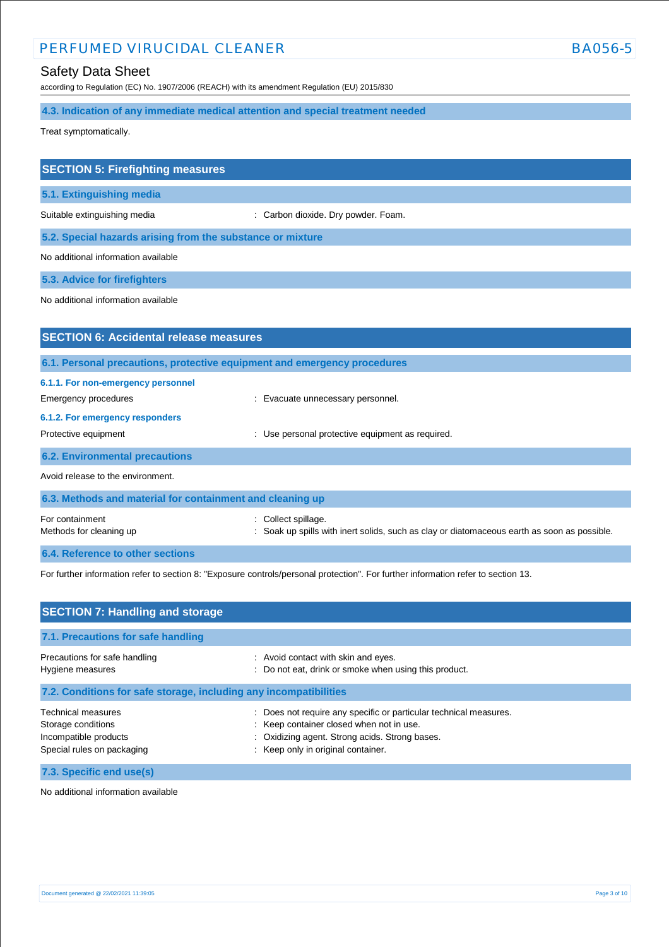# PERFUMED VIRUCIDAL CLEANER BA056-5

according to Regulation (EC) No. 1907/2006 (REACH) with its amendment Regulation (EU) 2015/830

**4.3. Indication of any immediate medical attention and special treatment needed**

Treat symptomatically.

| <b>SECTION 5: Firefighting measures</b>                                  |                                                |
|--------------------------------------------------------------------------|------------------------------------------------|
| 5.1. Extinguishing media                                                 |                                                |
| Suitable extinguishing media                                             | Carbon dioxide. Dry powder. Foam.              |
| 5.2. Special hazards arising from the substance or mixture               |                                                |
| No additional information available                                      |                                                |
| 5.3. Advice for firefighters                                             |                                                |
| No additional information available                                      |                                                |
|                                                                          |                                                |
| <b>SECTION 6: Accidental release measures</b>                            |                                                |
| 6.1. Personal precautions, protective equipment and emergency procedures |                                                |
| 6.1.1. For non-emergency personnel                                       |                                                |
| Emergency procedures                                                     | Evacuate unnecessary personnel.                |
| 6.1.2. For emergency responders                                          |                                                |
| Protective equipment                                                     | Use personal protective equipment as required. |
| <b>6.2. Environmental precautions</b>                                    |                                                |

Avoid release to the environment.

| 6.3. Methods and material for containment and cleaning up |                                                                                                                    |
|-----------------------------------------------------------|--------------------------------------------------------------------------------------------------------------------|
| For containment<br>Methods for cleaning up                | : Collect spillage.<br>: Soak up spills with inert solids, such as clay or diatomaceous earth as soon as possible. |
| 6.4. Reference to other sections                          |                                                                                                                    |

For further information refer to section 8: "Exposure controls/personal protection". For further information refer to section 13.

| <b>SECTION 7: Handling and storage</b>                                                                 |                                                                                                                                                                                                   |
|--------------------------------------------------------------------------------------------------------|---------------------------------------------------------------------------------------------------------------------------------------------------------------------------------------------------|
| 7.1. Precautions for safe handling                                                                     |                                                                                                                                                                                                   |
| Precautions for safe handling<br>Hygiene measures                                                      | : Avoid contact with skin and eyes.<br>Do not eat, drink or smoke when using this product.                                                                                                        |
| 7.2. Conditions for safe storage, including any incompatibilities                                      |                                                                                                                                                                                                   |
| <b>Technical measures</b><br>Storage conditions<br>Incompatible products<br>Special rules on packaging | Does not require any specific or particular technical measures.<br>: Keep container closed when not in use.<br>Oxidizing agent. Strong acids. Strong bases.<br>: Keep only in original container. |
| 7.3. Specific end use(s)                                                                               |                                                                                                                                                                                                   |

No additional information available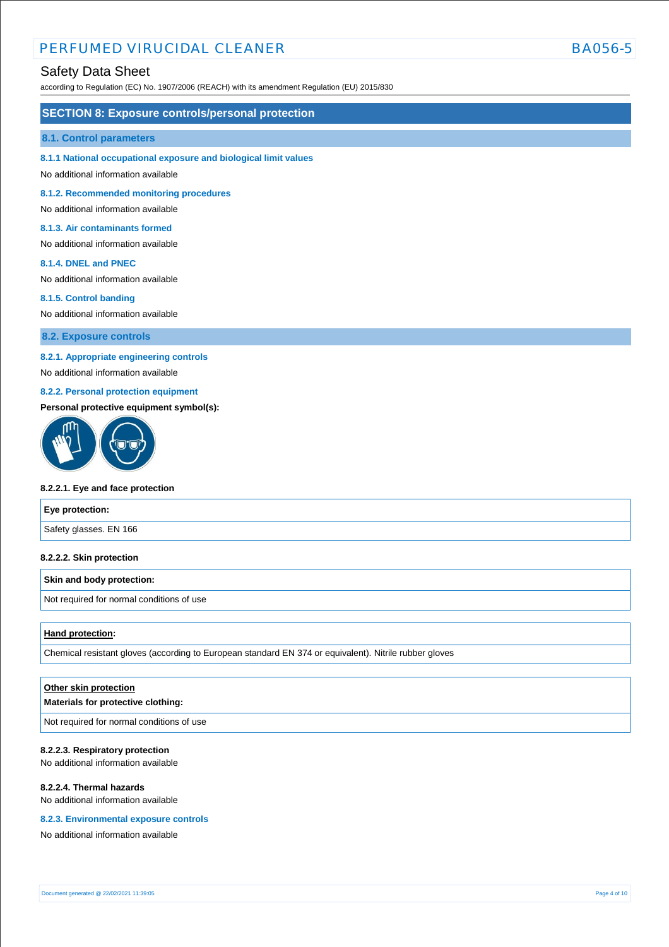# PERFUMED VIRUCIDAL CLEANER BA056-5

## Safety Data Sheet

according to Regulation (EC) No. 1907/2006 (REACH) with its amendment Regulation (EU) 2015/830

### **SECTION 8: Exposure controls/personal protection**

#### **8.1. Control parameters**

#### **8.1.1 National occupational exposure and biological limit values**

No additional information available

**8.1.2. Recommended monitoring procedures** 

No additional information available

### **8.1.3. Air contaminants formed**

No additional information available

#### **8.1.4. DNEL and PNEC**

No additional information available

#### **8.1.5. Control banding**

No additional information available

**8.2. Exposure controls**

### **8.2.1. Appropriate engineering controls**

No additional information available

### **8.2.2. Personal protection equipment**

### **Personal protective equipment symbol(s):**



#### **8.2.2.1. Eye and face protection**

# **Eye protection:** Safety glasses. EN 166

#### **8.2.2.2. Skin protection**

#### **Skin and body protection:**

Not required for normal conditions of use

#### **Hand protection:**

Chemical resistant gloves (according to European standard EN 374 or equivalent). Nitrile rubber gloves

# **Other skin protection Materials for protective clothing:**

Not required for normal conditions of use

#### **8.2.2.3. Respiratory protection**

No additional information available

### **8.2.2.4. Thermal hazards**

No additional information available

#### **8.2.3. Environmental exposure controls**

No additional information available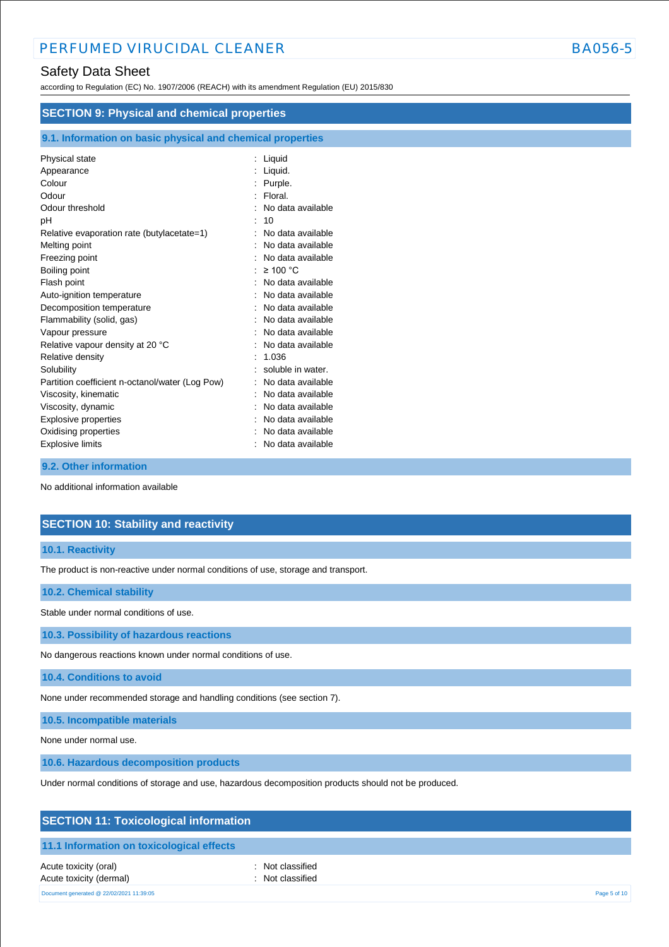according to Regulation (EC) No. 1907/2006 (REACH) with its amendment Regulation (EU) 2015/830

| <b>SECTION 9: Physical and chemical properties</b>         |                     |
|------------------------------------------------------------|---------------------|
| 9.1. Information on basic physical and chemical properties |                     |
| Physical state                                             | : Liquid            |
| Appearance                                                 | : Liquid.           |
| Colour                                                     | Purple.             |
| Odour                                                      | : Floral.           |
| Odour threshold                                            | : No data available |
| рH                                                         | 10                  |
| Relative evaporation rate (butylacetate=1)                 | No data available   |
| Melting point                                              | : No data available |
| Freezing point                                             | No data available   |
| Boiling point                                              | : $\geq 100$ °C     |
| Flash point                                                | : No data available |
| Auto-ignition temperature                                  | No data available   |
| Decomposition temperature                                  | No data available   |
| Flammability (solid, gas)                                  | No data available   |
| Vapour pressure                                            | No data available   |
| Relative vapour density at 20 °C                           | No data available   |
| Relative density                                           | 1.036               |
| Solubility                                                 | soluble in water.   |
| Partition coefficient n-octanol/water (Log Pow)            | : No data available |
| Viscosity, kinematic                                       | No data available   |
| Viscosity, dynamic                                         | No data available   |
| Explosive properties                                       | No data available   |
| Oxidising properties                                       | No data available   |
| <b>Explosive limits</b>                                    | No data available   |

### **9.2. Other information**

No additional information available

# **SECTION 10: Stability and reactivity**

### **10.1. Reactivity**

The product is non-reactive under normal conditions of use, storage and transport.

### **10.2. Chemical stability**

Stable under normal conditions of use.

**10.3. Possibility of hazardous reactions**

No dangerous reactions known under normal conditions of use.

**10.4. Conditions to avoid**

None under recommended storage and handling conditions (see section 7).

**10.5. Incompatible materials**

None under normal use.

**10.6. Hazardous decomposition products**

Under normal conditions of storage and use, hazardous decomposition products should not be produced.

# **SECTION 11: Toxicological information**

### **11.1 Information on toxicological effects**

Acute toxicity (oral) **interval** to the control of the control of the control of the control of the control of the control of the control of the control of the control of the control of the control of the control of the co Acute toxicity (dermal) **and in the case of the contract of the contract of the contract of the contract of the contract of the contract of the contract of the contract of the contract of the contract of the contract of th** Document generated @ 22/02/2021 11:39:05 Page 5 of 10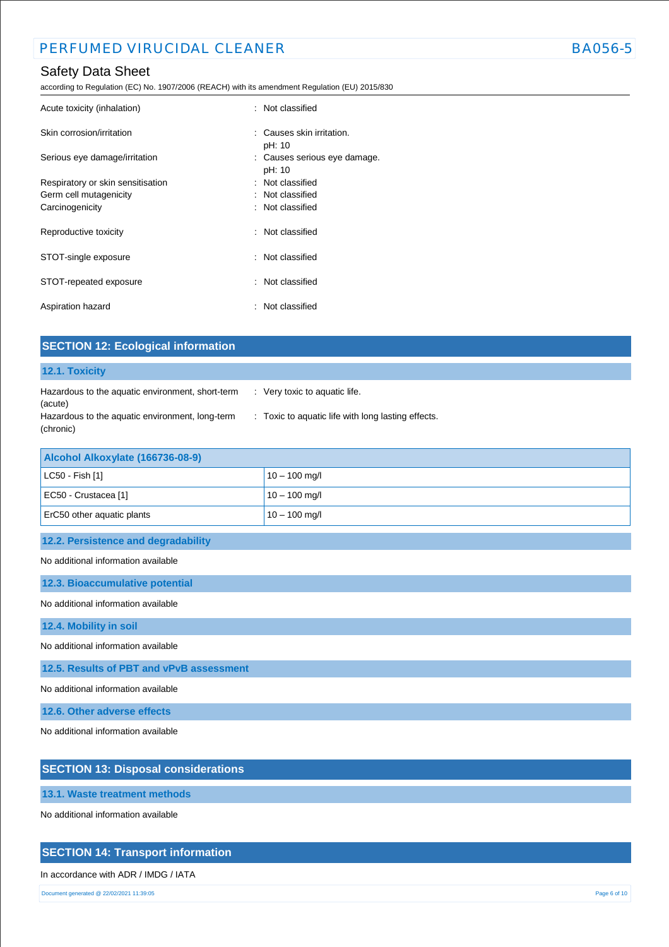according to Regulation (EC) No. 1907/2006 (REACH) with its amendment Regulation (EU) 2015/830

| Acute toxicity (inhalation)       | : Not classified                       |
|-----------------------------------|----------------------------------------|
| Skin corrosion/irritation         | : Causes skin irritation.<br>pH: 10    |
| Serious eye damage/irritation     | : Causes serious eye damage.<br>pH: 10 |
| Respiratory or skin sensitisation | : Not classified                       |
| Germ cell mutagenicity            | : Not classified                       |
| Carcinogenicity                   | : Not classified                       |
| Reproductive toxicity             | : Not classified                       |
| STOT-single exposure              | : Not classified                       |
| STOT-repeated exposure            | : Not classified                       |
| Aspiration hazard                 | : Not classified                       |

| <b>SECTION 12: Ecological information</b>                    |                                                    |  |  |  |  |
|--------------------------------------------------------------|----------------------------------------------------|--|--|--|--|
| 12.1. Toxicity                                               |                                                    |  |  |  |  |
| Hazardous to the aquatic environment, short-term<br>(acute)  | : Very toxic to aquatic life.                      |  |  |  |  |
| Hazardous to the aquatic environment, long-term<br>(chronic) | : Toxic to aquatic life with long lasting effects. |  |  |  |  |
| Alcohol Alkoxylate (166736-08-9)                             |                                                    |  |  |  |  |
| LC50 - Fish [1]                                              | $10 - 100$ mg/l                                    |  |  |  |  |
| EC50 - Crustacea [1]                                         | $10 - 100$ mg/l                                    |  |  |  |  |

ErC50 other aquatic plants  $10 - 100$  mg/l

**12.2. Persistence and degradability**

No additional information available

**12.3. Bioaccumulative potential**

No additional information available

**12.4. Mobility in soil**

No additional information available

**12.5. Results of PBT and vPvB assessment**

No additional information available

**12.6. Other adverse effects**

No additional information available

# **SECTION 13: Disposal considerations**

**13.1. Waste treatment methods**

No additional information available

## **SECTION 14: Transport information**

### In accordance with ADR / IMDG / IATA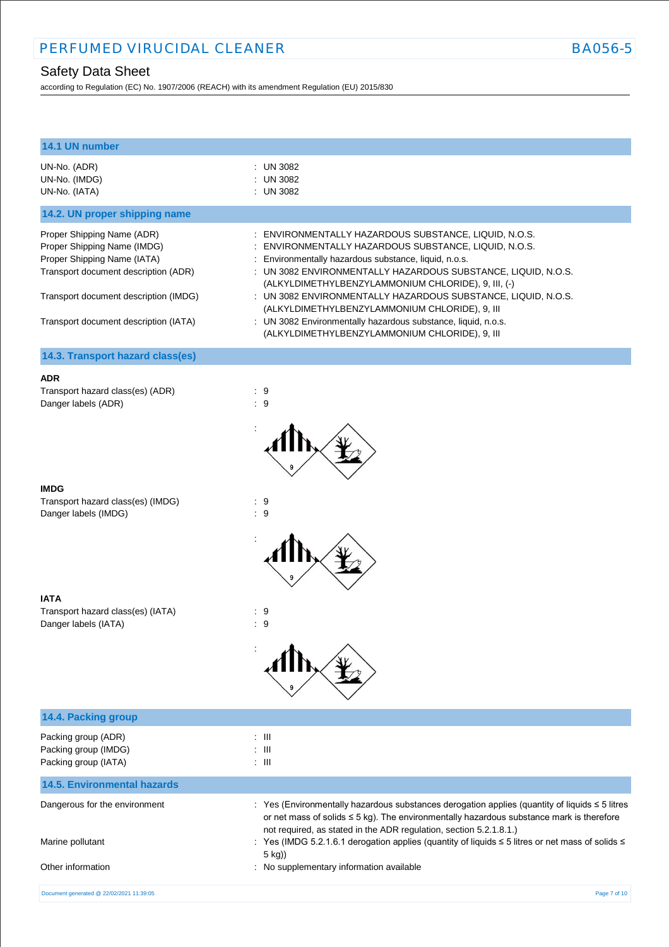according to Regulation (EC) No. 1907/2006 (REACH) with its amendment Regulation (EU) 2015/830

| 14.1 UN number                                                                                                                                                                                                     |                                                                                                                                                                                                                                                                                                                                                                                                                                                                                                                                   |
|--------------------------------------------------------------------------------------------------------------------------------------------------------------------------------------------------------------------|-----------------------------------------------------------------------------------------------------------------------------------------------------------------------------------------------------------------------------------------------------------------------------------------------------------------------------------------------------------------------------------------------------------------------------------------------------------------------------------------------------------------------------------|
| UN-No. (ADR)<br>UN-No. (IMDG)<br>UN-No. (IATA)                                                                                                                                                                     | : UN 3082<br>: UN 3082<br>: UN 3082                                                                                                                                                                                                                                                                                                                                                                                                                                                                                               |
| 14.2. UN proper shipping name                                                                                                                                                                                      |                                                                                                                                                                                                                                                                                                                                                                                                                                                                                                                                   |
| Proper Shipping Name (ADR)<br>Proper Shipping Name (IMDG)<br>Proper Shipping Name (IATA)<br>Transport document description (ADR)<br>Transport document description (IMDG)<br>Transport document description (IATA) | : ENVIRONMENTALLY HAZARDOUS SUBSTANCE, LIQUID, N.O.S.<br>ENVIRONMENTALLY HAZARDOUS SUBSTANCE, LIQUID, N.O.S.<br>Environmentally hazardous substance, liquid, n.o.s.<br>: UN 3082 ENVIRONMENTALLY HAZARDOUS SUBSTANCE, LIQUID, N.O.S.<br>(ALKYLDIMETHYLBENZYLAMMONIUM CHLORIDE), 9, III, (-)<br>: UN 3082 ENVIRONMENTALLY HAZARDOUS SUBSTANCE, LIQUID, N.O.S.<br>(ALKYLDIMETHYLBENZYLAMMONIUM CHLORIDE), 9, III<br>: UN 3082 Environmentally hazardous substance, liquid, n.o.s.<br>(ALKYLDIMETHYLBENZYLAMMONIUM CHLORIDE), 9, III |
| 14.3. Transport hazard class(es)                                                                                                                                                                                   |                                                                                                                                                                                                                                                                                                                                                                                                                                                                                                                                   |
| <b>ADR</b><br>Transport hazard class(es) (ADR)<br>Danger labels (ADR)                                                                                                                                              | $\therefore$ 9<br>:9                                                                                                                                                                                                                                                                                                                                                                                                                                                                                                              |
| <b>IMDG</b><br>Transport hazard class(es) (IMDG)<br>Danger labels (IMDG)                                                                                                                                           | $\therefore$ 9<br>$\therefore$ 9                                                                                                                                                                                                                                                                                                                                                                                                                                                                                                  |
| <b>IATA</b><br>Transport hazard class(es) (IATA)<br>Danger labels (IATA)                                                                                                                                           | : 9<br>$\therefore$ 9                                                                                                                                                                                                                                                                                                                                                                                                                                                                                                             |
| 14.4. Packing group                                                                                                                                                                                                |                                                                                                                                                                                                                                                                                                                                                                                                                                                                                                                                   |
| Packing group (ADR)<br>Packing group (IMDG)<br>Packing group (IATA)                                                                                                                                                | $\therefore$ III<br>$\therefore$ III<br>$:$ $\mathbb{H}$                                                                                                                                                                                                                                                                                                                                                                                                                                                                          |
| <b>14.5. Environmental hazards</b>                                                                                                                                                                                 |                                                                                                                                                                                                                                                                                                                                                                                                                                                                                                                                   |
| Dangerous for the environment<br>Marine pollutant                                                                                                                                                                  | : Yes (Environmentally hazardous substances derogation applies (quantity of liquids ≤ 5 litres<br>or net mass of solids $\leq$ 5 kg). The environmentally hazardous substance mark is therefore<br>not required, as stated in the ADR regulation, section 5.2.1.8.1.)<br>: Yes (IMDG 5.2.1.6.1 derogation applies (quantity of liquids $\leq$ 5 litres or net mass of solids $\leq$<br>5 kg))                                                                                                                                     |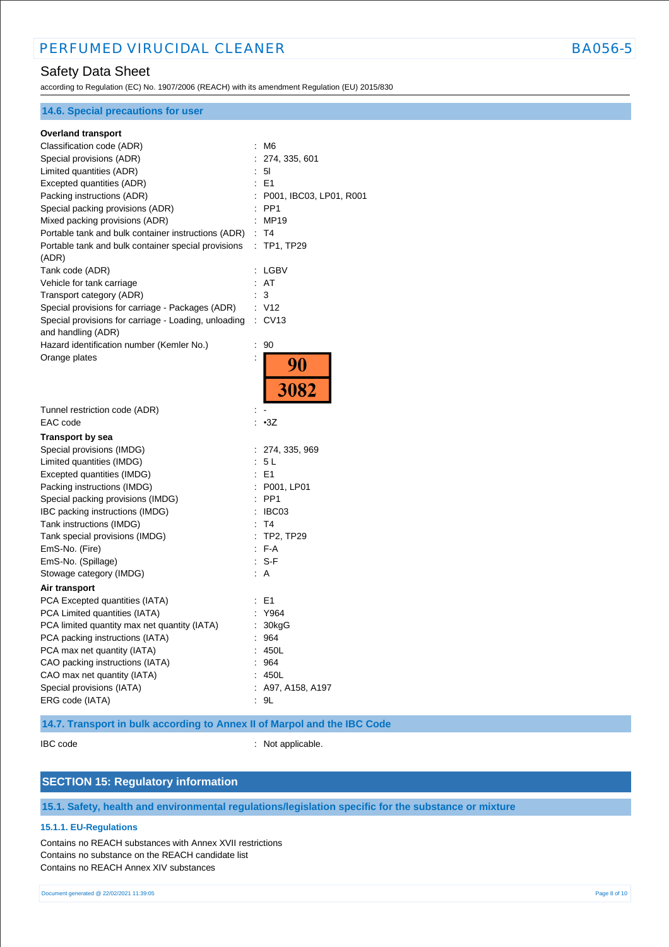according to Regulation (EC) No. 1907/2006 (REACH) with its amendment Regulation (EU) 2015/830

| <b>14.6. Special precautions for user</b>                   |   |                           |
|-------------------------------------------------------------|---|---------------------------|
| <b>Overland transport</b>                                   |   |                           |
| Classification code (ADR)                                   |   | : M6                      |
| Special provisions (ADR)                                    | ÷ | 274, 335, 601             |
| Limited quantities (ADR)                                    |   | 5I                        |
| Excepted quantities (ADR)                                   |   | $E = 1$                   |
| Packing instructions (ADR)                                  |   | : P001, IBC03, LP01, R001 |
| Special packing provisions (ADR)                            |   | $:$ PP1                   |
| Mixed packing provisions (ADR)                              |   | : MP19                    |
| Portable tank and bulk container instructions (ADR)         |   | : T4                      |
| Portable tank and bulk container special provisions         |   | : TP1, TP29               |
| (ADR)                                                       |   |                           |
| Tank code (ADR)                                             |   | : LGBV                    |
| Vehicle for tank carriage                                   |   | : AT                      |
| Transport category (ADR)                                    |   | 3                         |
| Special provisions for carriage - Packages (ADR)            |   | : V12                     |
| Special provisions for carriage - Loading, unloading : CV13 |   |                           |
| and handling (ADR)                                          |   |                           |
| Hazard identification number (Kemler No.)                   | ÷ | 90                        |
| Orange plates                                               |   |                           |
|                                                             |   | 90                        |
|                                                             |   |                           |
|                                                             |   | 3082                      |
|                                                             |   |                           |
| Tunnel restriction code (ADR)                               |   |                           |
| EAC code                                                    |   | : •3Z                     |
| <b>Transport by sea</b>                                     |   |                           |
| Special provisions (IMDG)                                   |   | : 274, 335, 969           |
| Limited quantities (IMDG)                                   |   | : 5L                      |
| Excepted quantities (IMDG)                                  |   | : E1                      |
| Packing instructions (IMDG)                                 |   | : P001, LP01              |
| Special packing provisions (IMDG)                           |   | $:$ PP1                   |
| IBC packing instructions (IMDG)                             |   | IBC03                     |
| Tank instructions (IMDG)                                    |   | T4                        |
| Tank special provisions (IMDG)                              |   | : TP2, TP29               |
| EmS-No. (Fire)                                              |   | : F-A                     |
| EmS-No. (Spillage)                                          |   | S-F                       |
| Stowage category (IMDG)                                     |   | : A                       |
| Air transport                                               |   |                           |
| PCA Excepted quantities (IATA)                              |   | : E1                      |
| PCA Limited quantities (IATA)                               |   | Y964                      |
| PCA limited quantity max net quantity (IATA)                |   | 30kgG                     |
| PCA packing instructions (IATA)                             |   | 964                       |
| PCA max net quantity (IATA)                                 |   | 450L                      |
| CAO packing instructions (IATA)                             |   | 964                       |
| CAO max net quantity (IATA)                                 |   | 450L                      |
| Special provisions (IATA)                                   |   | A97, A158, A197           |
| ERG code (IATA)                                             |   | : 9L                      |
|                                                             |   |                           |

## **14.7. Transport in bulk according to Annex II of Marpol and the IBC Code**

IBC code : Not applicable.

# **SECTION 15: Regulatory information**

**15.1. Safety, health and environmental regulations/legislation specific for the substance or mixture**

### **15.1.1. EU-Regulations**

Contains no REACH substances with Annex XVII restrictions Contains no substance on the REACH candidate list Contains no REACH Annex XIV substances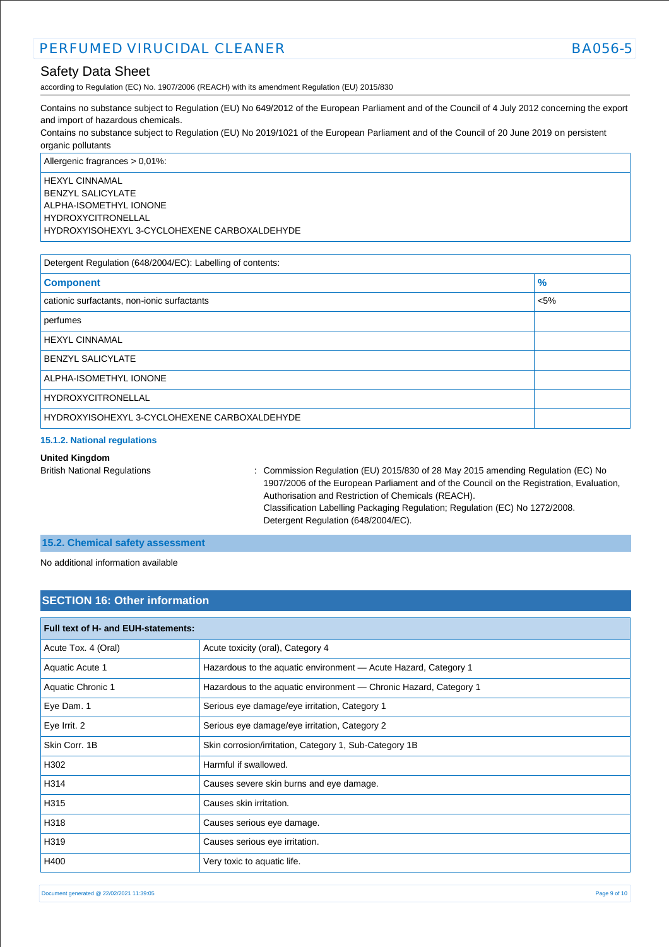according to Regulation (EC) No. 1907/2006 (REACH) with its amendment Regulation (EU) 2015/830

Contains no substance subject to Regulation (EU) No 649/2012 of the European Parliament and of the Council of 4 July 2012 concerning the export and import of hazardous chemicals.

Contains no substance subject to Regulation (EU) No 2019/1021 of the European Parliament and of the Council of 20 June 2019 on persistent organic pollutants

Allergenic fragrances > 0,01%: HEXYL CINNAMAL BENZYL SALICYLATE ALPHA-ISOMETHYL IONONE HYDROXYCITRONELLAL HYDROXYISOHEXYL 3-CYCLOHEXENE CARBOXALDEHYDE

| Detergent Regulation (648/2004/EC): Labelling of contents: |               |  |
|------------------------------------------------------------|---------------|--|
| <b>Component</b>                                           | $\frac{9}{6}$ |  |
| cationic surfactants, non-ionic surfactants                | $< 5\%$       |  |
| perfumes                                                   |               |  |
| <b>HEXYL CINNAMAL</b>                                      |               |  |
| <b>BENZYL SALICYLATE</b>                                   |               |  |
| ALPHA-ISOMETHYL IONONE                                     |               |  |
| <b>HYDROXYCITRONELLAL</b>                                  |               |  |
| HYDROXYISOHEXYL 3-CYCLOHEXENE CARBOXALDEHYDE               |               |  |

### **15.1.2. National regulations**

#### **United Kingdom**

British National Regulations : Commission Regulation (EU) 2015/830 of 28 May 2015 amending Regulation (EC) No 1907/2006 of the European Parliament and of the Council on the Registration, Evaluation, Authorisation and Restriction of Chemicals (REACH). Classification Labelling Packaging Regulation; Regulation (EC) No 1272/2008. Detergent Regulation (648/2004/EC).

### **15.2. Chemical safety assessment**

No additional information available

### **SECTION 16: Other information**

| <b>Full text of H- and EUH-statements:</b> |                                                                   |  |
|--------------------------------------------|-------------------------------------------------------------------|--|
| Acute Tox. 4 (Oral)                        | Acute toxicity (oral), Category 4                                 |  |
| Aquatic Acute 1                            | Hazardous to the aquatic environment - Acute Hazard, Category 1   |  |
| Aquatic Chronic 1                          | Hazardous to the aquatic environment — Chronic Hazard, Category 1 |  |
| Eye Dam. 1                                 | Serious eye damage/eye irritation, Category 1                     |  |
| Eye Irrit. 2                               | Serious eye damage/eye irritation, Category 2                     |  |
| Skin Corr, 1B                              | Skin corrosion/irritation, Category 1, Sub-Category 1B            |  |
| H302                                       | Harmful if swallowed.                                             |  |
| H314                                       | Causes severe skin burns and eye damage.                          |  |
| H315                                       | Causes skin irritation.                                           |  |
| H318                                       | Causes serious eye damage.                                        |  |
| H319                                       | Causes serious eye irritation.                                    |  |
| H400                                       | Very toxic to aquatic life.                                       |  |